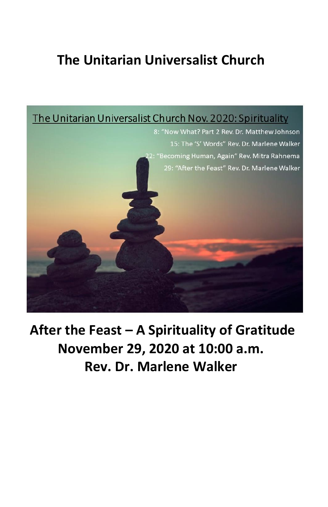## **The Unitarian Universalist Church**



**After the Feast – A Spirituality of Gratitude November 29, 2020 at 10:00 a.m. Rev. Dr. Marlene Walker**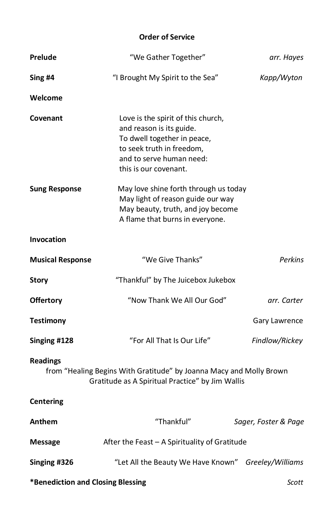## **Order of Service**

| Prelude                                                                                                                                    | "We Gather Together"                                                                                                                                                            | arr. Hayes           |
|--------------------------------------------------------------------------------------------------------------------------------------------|---------------------------------------------------------------------------------------------------------------------------------------------------------------------------------|----------------------|
| Sing #4                                                                                                                                    | "I Brought My Spirit to the Sea"                                                                                                                                                | Kapp/Wyton           |
| Welcome                                                                                                                                    |                                                                                                                                                                                 |                      |
| Covenant                                                                                                                                   | Love is the spirit of this church,<br>and reason is its guide.<br>To dwell together in peace,<br>to seek truth in freedom,<br>and to serve human need:<br>this is our covenant. |                      |
| <b>Sung Response</b>                                                                                                                       | May love shine forth through us today<br>May light of reason guide our way<br>May beauty, truth, and joy become<br>A flame that burns in everyone.                              |                      |
| <b>Invocation</b>                                                                                                                          |                                                                                                                                                                                 |                      |
| <b>Musical Response</b>                                                                                                                    | "We Give Thanks"                                                                                                                                                                | <b>Perkins</b>       |
| <b>Story</b>                                                                                                                               | "Thankful" by The Juicebox Jukebox                                                                                                                                              |                      |
| <b>Offertory</b>                                                                                                                           | "Now Thank We All Our God"                                                                                                                                                      | arr. Carter          |
| Testimony                                                                                                                                  |                                                                                                                                                                                 | Gary Lawrence        |
| Singing #128                                                                                                                               | "For All That Is Our Life"                                                                                                                                                      | Findlow/Rickey       |
| <b>Readings</b><br>from "Healing Begins With Gratitude" by Joanna Macy and Molly Brown<br>Gratitude as A Spiritual Practice" by Jim Wallis |                                                                                                                                                                                 |                      |
| <b>Centering</b>                                                                                                                           |                                                                                                                                                                                 |                      |
| Anthem                                                                                                                                     | "Thankful"                                                                                                                                                                      | Sager, Foster & Page |
| Message                                                                                                                                    | After the Feast - A Spirituality of Gratitude                                                                                                                                   |                      |
| Singing #326                                                                                                                               | "Let All the Beauty We Have Known"                                                                                                                                              | Greeley/Williams     |